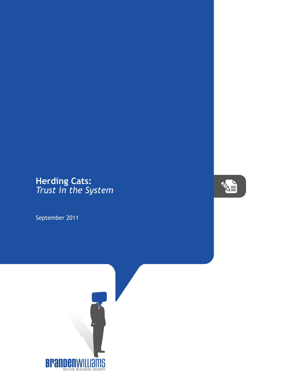## **Herding Cats:** *Trust in the System*

September 2011



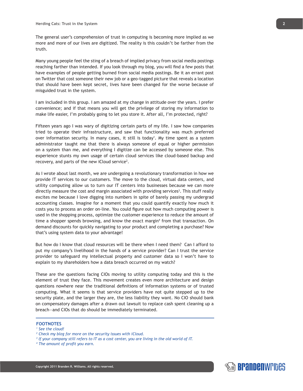The general user's comprehension of trust in computing is becoming more implied as we more and more of our lives are digitized. The reality is this couldn't be farther from the truth.

Many young people feel the sting of a breach of implied privacy from social media postings reaching farther than intended. If you look through my blog, you will find a few posts that have examples of people getting burned from social media postings. Be it an errant post on Twitter that cost someone their new job or a geo-tagged picture that reveals a location that should have been kept secret, lives have been changed for the worse because of misguided trust in the system.

I am included in this group. I am amazed at my change in attitude over the years. I prefer convenience; and if that means you will get the privilege of storing my information to make life easier, I'm probably going to let you store it. After all, I'm protected, right?

Fifteen years ago I was wary of digitizing certain parts of my life. I saw how companies tried to operate their infrastructure, and saw that functionality was much preferred over information security. In many cases, it still is today<sup>1</sup>. My time spent as a system administrator taught me that there is always someone of equal or higher permission on a system than me, and everything I digitize can be accessed by someone else. This experience stunts my own usage of certain cloud services like cloud-based backup and recovery, and parts of the new iCloud service<sup>2</sup>.

As I wrote about last month, we are undergoing a revolutionary transformation in how we provide IT services to our customers. The move to the cloud, virtual data centers, and utility computing allow us to turn our IT centers into businesses because we can more directly measure the cost and margin associated with providing services<sup>3</sup>. This stuff really excites me because I love digging into numbers in spite of barely passing my undergrad accounting classes. Imagine for a moment that you could quantify exactly how much it costs you to process an order on-line. You could figure out how much computing power is used in the shopping process, optimize the customer experience to reduce the amount of time a shopper spends browsing, and know the exact margin<sup>4</sup> from that transaction. On demand discounts for quickly navigating to your product and completing a purchase? Now that's using system data to your advantage!

But how do I know that cloud resources will be there when I need them? Can I afford to put my company's livelihood in the hands of a service provider? Can I trust the service provider to safeguard my intellectual property and customer data so I won't have to explain to my shareholders how a data breach occurred on my watch?

These are the questions facing CIOs moving to utility computing today and this is the element of trust they face. This movement creates even more architecture and design questions nowhere near the traditional definitions of information systems or of trusted computing. What it seems is that service providers have not quite stepped up to the security plate, and the larger they are, the less liability they want. No CIO should bank on compensatory damages after a drawn out lawsuit to replace cash spent cleaning up a breach—and CIOs that do should be immediately terminated.

## **FOOTNOTES**

*<sup>1</sup> See the cloud!*

*<sup>2</sup> Check my blog for more on the security issues with iCloud.*

*<sup>3</sup> If your company still refers to IT as a cost center, you are living in the old world of IT.*

*<sup>4</sup> The amount of profit you earn.*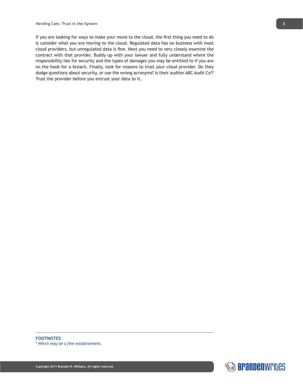If you are looking for ways to make your move to the cloud, the first thing you need to do is consider what you are moving to the cloud. Regulated data has no business with most cloud providers, but unregulated data is fine. Next you need to very closely examine the contract with that provider. Buddy up with your lawyer and fully understand where the responsibility lies for security and the types of damages you may be entitled to if you are on the hook for a breach. Finally, look for reasons to trust your cloud provider. Do they dodge questions about security, or use the wrong acronyms? Is their auditor ABC Audit Co<sup>5</sup>? Trust the provider before you entrust your data to it.